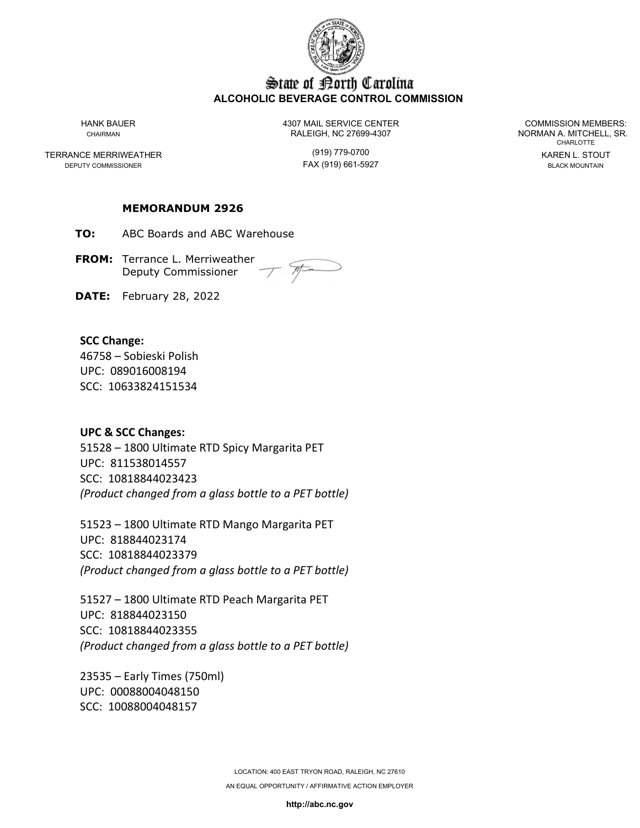

### State of Borth Carolina **ALCOHOLIC BEVERAGE CONTROL COMMISSION**

TERRANCE MERRIWEATHER (919) 779-0700 KAREN L. STOUT

HANK BAUER 4307 MAIL SERVICE CENTER COMMISSION MEMBERS: CHAIRMAN CHAIRMAN RALEIGH, NC 27699-4307 NORMAN A. MITCHELL, SR.

FAX (919) 661-5927

CHARLOTTE

### **MEMORANDUM 2926**

**TO:** ABC Boards and ABC Warehouse

**FROM:** Terrance L. Merriweather Deputy Commissioner

**DATE:** February 28, 2022

### **SCC Change:**

46758 – Sobieski Polish UPC: 089016008194 SCC: 10633824151534

### **UPC & SCC Changes:**

51528 – 1800 Ultimate RTD Spicy Margarita PET UPC: 811538014557 SCC: 10818844023423 *(Product changed from a glass bottle to a PET bottle)*

51523 – 1800 Ultimate RTD Mango Margarita PET UPC: 818844023174 SCC: 10818844023379 *(Product changed from a glass bottle to a PET bottle)*

51527 – 1800 Ultimate RTD Peach Margarita PET UPC: 818844023150 SCC: 10818844023355 *(Product changed from a glass bottle to a PET bottle)*

23535 – Early Times (750ml) UPC: 00088004048150 SCC: 10088004048157

> LOCATION: 400 EAST TRYON ROAD, RALEIGH, NC 27610 AN EQUAL OPPORTUNITY / AFFIRMATIVE ACTION EMPLOYER

> > **http://abc.nc.gov**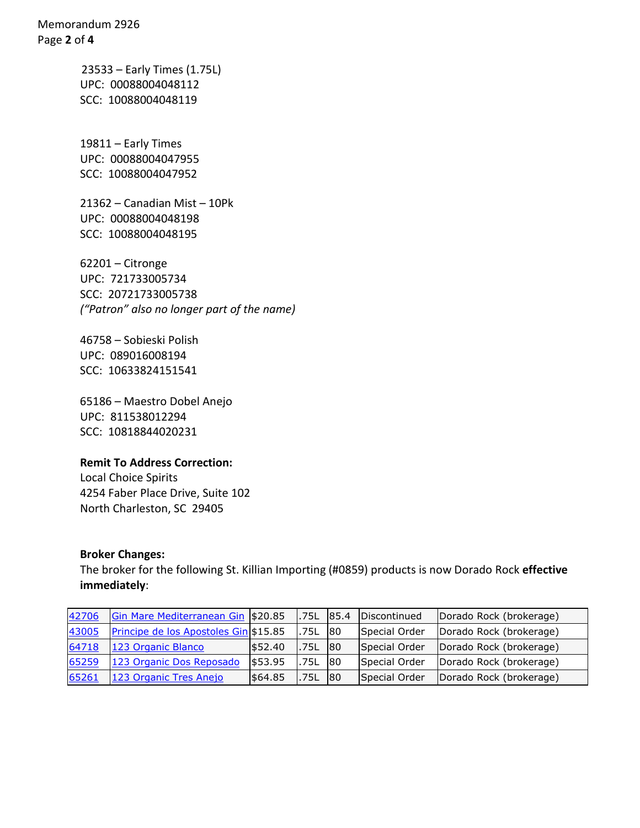Memorandum 2926 Page **2** of **4**

> 23533 – Early Times (1.75L) UPC: 00088004048112 SCC: 10088004048119

19811 – Early Times UPC: 00088004047955 SCC: 10088004047952

21362 – Canadian Mist – 10Pk UPC: 00088004048198 SCC: 10088004048195

62201 – Citronge UPC: 721733005734 SCC: 20721733005738 *("Patron" also no longer part of the name)*

46758 – Sobieski Polish UPC: 089016008194 SCC: 10633824151541

65186 – Maestro Dobel Anejo UPC: 811538012294 SCC: 10818844020231

## **Remit To Address Correction:**

Local Choice Spirits 4254 Faber Place Drive, Suite 102 North Charleston, SC 29405

### **Broker Changes:**

The broker for the following St. Killian Importing (#0859) products is now Dorado Rock **effective immediately**:

| 42706 | Gin Mare Mediterranean Gin \$20.85    |         | l.75L 85.4  |    | <b>IDiscontinued</b> | Dorado Rock (brokerage) |
|-------|---------------------------------------|---------|-------------|----|----------------------|-------------------------|
| 43005 | Principe de los Apostoles Gin \$15.85 |         | 1.75L       | 80 | Special Order        | Dorado Rock (brokerage) |
| 64718 | 123 Organic Blanco                    | 552.40  | 1.75L       | 80 | Special Order        | Dorado Rock (brokerage) |
| 65259 | 123 Organic Dos Reposado              | \$53.95 | <b>.75L</b> | 80 | Special Order        | Dorado Rock (brokerage) |
| 65261 | 123 Organic Tres Anejo                | \$64.85 | 1.75L       | 80 | Special Order        | Dorado Rock (brokerage) |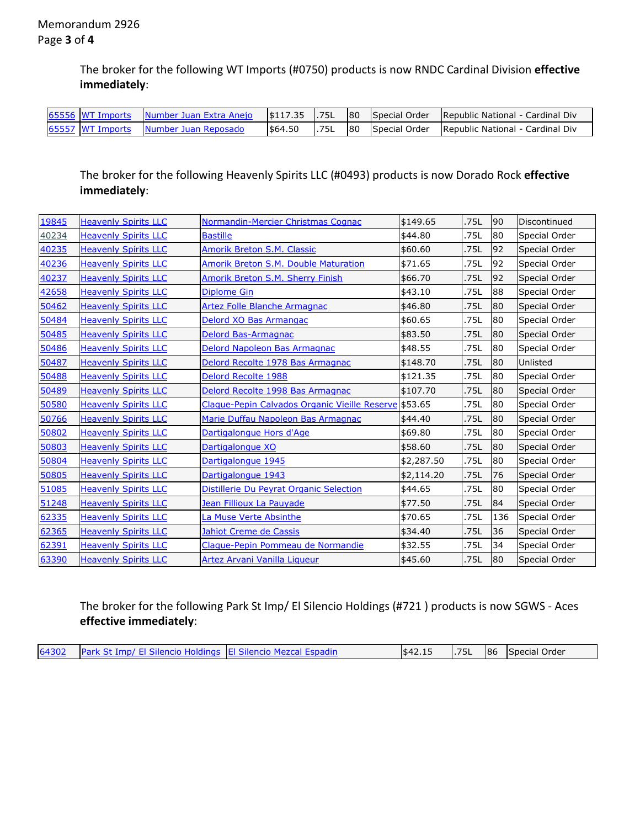The broker for the following WT Imports (#0750) products is now RNDC Cardinal Division **effective immediately**:

|  |                                       |         |             |    | 65556 WT Imports Number Juan Extra Anejo (\$117.35 1.75L 80 Special Order Republic National - Cardinal Div |
|--|---------------------------------------|---------|-------------|----|------------------------------------------------------------------------------------------------------------|
|  | 65557 WT Imports Number Juan Reposado | \$64.50 | <b>.75L</b> | 80 | Special Order   Republic National - Cardinal Div                                                           |

The broker for the following Heavenly Spirits LLC (#0493) products is now Dorado Rock **effective immediately**:

| 19845 | <b>Heavenly Spirits LLC</b> | Normandin-Mercier Christmas Cognac                    | \$149.65   | .75L | 90  | Discontinued  |
|-------|-----------------------------|-------------------------------------------------------|------------|------|-----|---------------|
| 40234 | <b>Heavenly Spirits LLC</b> | <b>Bastille</b>                                       | \$44.80    | .75L | 80  | Special Order |
| 40235 | <b>Heavenly Spirits LLC</b> | Amorik Breton S.M. Classic                            | \$60.60    | .75L | 92  | Special Order |
| 40236 | <b>Heavenly Spirits LLC</b> | Amorik Breton S.M. Double Maturation                  | \$71.65    | .75L | 92  | Special Order |
| 40237 | <b>Heavenly Spirits LLC</b> | Amorik Breton S.M. Sherry Finish                      | \$66.70    | .75L | 92  | Special Order |
| 42658 | <b>Heavenly Spirits LLC</b> | <b>Diplome Gin</b>                                    | \$43.10    | .75L | 88  | Special Order |
| 50462 | <b>Heavenly Spirits LLC</b> | Artez Folle Blanche Armagnac                          | \$46.80    | .75L | 80  | Special Order |
| 50484 | <b>Heavenly Spirits LLC</b> | Delord XO Bas Armangac                                | \$60.65    | .75L | 80  | Special Order |
| 50485 | <b>Heavenly Spirits LLC</b> | Delord Bas-Armagnac                                   | \$83.50    | .75L | 80  | Special Order |
| 50486 | <b>Heavenly Spirits LLC</b> | Delord Napoleon Bas Armagnac                          | \$48.55    | .75L | 80  | Special Order |
| 50487 | <b>Heavenly Spirits LLC</b> | Delord Recolte 1978 Bas Armagnac                      | \$148.70   | .75L | 80  | Unlisted      |
| 50488 | <b>Heavenly Spirits LLC</b> | Delord Recolte 1988                                   | \$121.35   | .75L | 80  | Special Order |
| 50489 | <b>Heavenly Spirits LLC</b> | Delord Recolte 1998 Bas Armagnac                      | \$107.70   | .75L | 80  | Special Order |
| 50580 | <b>Heavenly Spirits LLC</b> | Claque-Pepin Calvados Organic Vieille Reserve \$53.65 |            | .75L | 80  | Special Order |
| 50766 | <b>Heavenly Spirits LLC</b> | Marie Duffau Napoleon Bas Armagnac                    | \$44.40    | .75L | 80  | Special Order |
| 50802 | <b>Heavenly Spirits LLC</b> | Dartigalongue Hors d'Age                              | \$69.80    | .75L | 80  | Special Order |
| 50803 | <b>Heavenly Spirits LLC</b> | Dartigalongue XO                                      | \$58.60    | .75L | 80  | Special Order |
| 50804 | <b>Heavenly Spirits LLC</b> | Dartigalongue 1945                                    | \$2,287.50 | .75L | 80  | Special Order |
| 50805 | <b>Heavenly Spirits LLC</b> | Dartigalongue 1943                                    | \$2,114.20 | .75L | 76  | Special Order |
| 51085 | <b>Heavenly Spirits LLC</b> | Distillerie Du Peyrat Organic Selection               | \$44.65    | .75L | 80  | Special Order |
| 51248 | <b>Heavenly Spirits LLC</b> | Jean Fillioux La Pauyade                              | \$77.50    | .75L | 84  | Special Order |
| 62335 | <b>Heavenly Spirits LLC</b> | La Muse Verte Absinthe                                | \$70.65    | .75L | 136 | Special Order |
| 62365 | <b>Heavenly Spirits LLC</b> | Jahiot Creme de Cassis                                | \$34.40    | .75L | 36  | Special Order |
| 62391 | <b>Heavenly Spirits LLC</b> | Claque-Pepin Pommeau de Normandie                     | \$32.55    | .75L | 34  | Special Order |
| 63390 | <b>Heavenly Spirits LLC</b> | Artez Arvani Vanilla Liqueur                          | \$45.60    | .75L | 80  | Special Order |

The broker for the following Park St Imp/ El Silencio Holdings (#721 ) products is now SGWS - Aces **effective immediately**:

|  | 64302 Park St Imp/ El Silencio Holdings El Silencio Mezcal Espadin |  | \$42.15 |  |  | 1.75L 86 Special Order |
|--|--------------------------------------------------------------------|--|---------|--|--|------------------------|
|--|--------------------------------------------------------------------|--|---------|--|--|------------------------|